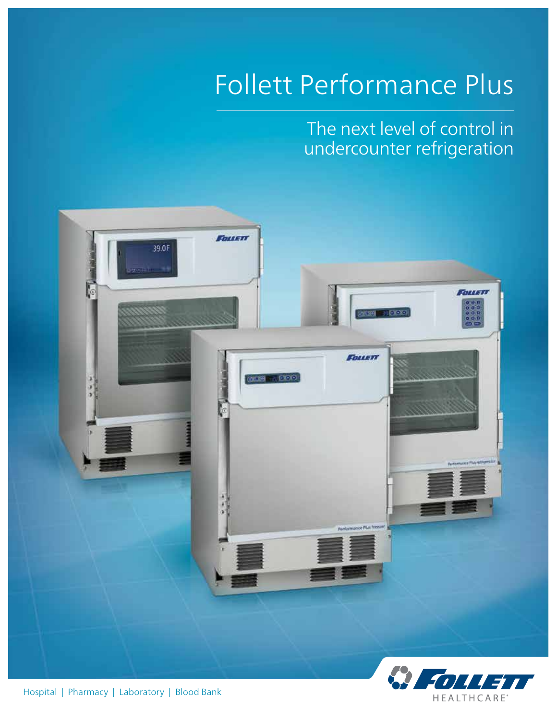# Follett Performance Plus

The next level of control in undercounter refrigeration

**HEALTHCARE** 



Hospital | Pharmacy | Laboratory | Blood Bank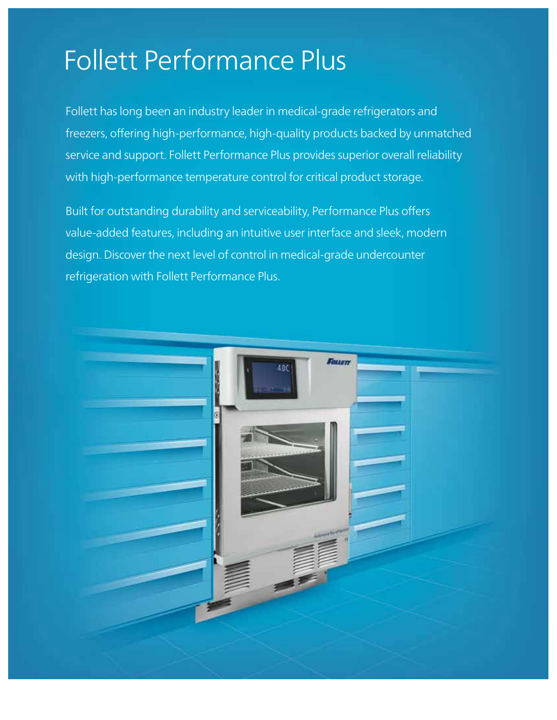## Follett Performance Plus

Follett has long been an industry leader in medical-grade refrigerators and freezers, offering high-performance, high-quality products backed by unmatched service and support. Follett Performance Plus provides superior overall reliability with high-performance temperature control for critical product storage.

Built for outstanding durability and serviceability, Performance Plus offers value-added features, including an intuitive user interface and sleek, modern design. Discover the next level of control in medical-grade undercounter refrigeration with Follett Performance Plus.

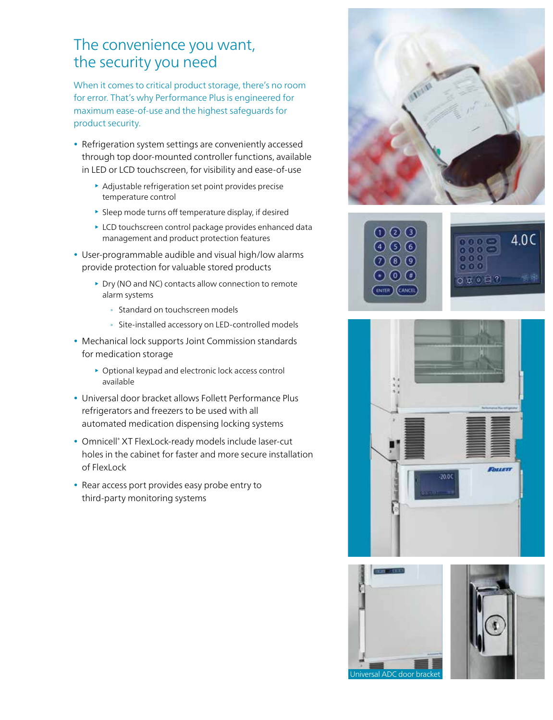#### The convenience you want, the security you need

When it comes to critical product storage, there's no room for error. That's why Performance Plus is engineered for maximum ease-of-use and the highest safeguards for product security.

- Refrigeration system settings are conveniently accessed through top door-mounted controller functions, available in LED or LCD touchscreen, for visibility and ease-of-use
	- Adjustable refrigeration set point provides precise temperature control
	- $\blacktriangleright$  Sleep mode turns off temperature display, if desired
	- ▶ LCD touchscreen control package provides enhanced data management and product protection features
- User-programmable audible and visual high/low alarms provide protection for valuable stored products
	- ▶ Dry (NO and NC) contacts allow connection to remote alarm systems
		- » Standard on touchscreen models
		- » Site-installed accessory on LED-controlled models
- Mechanical lock supports Joint Commission standards for medication storage
	- Optional keypad and electronic lock access control available
- Universal door bracket allows Follett Performance Plus refrigerators and freezers to be used with all automated medication dispensing locking systems
- Omnicell® XT FlexLock-ready models include laser-cut holes in the cabinet for faster and more secure installation of FlexLock
- Rear access port provides easy probe entry to third-party monitoring systems











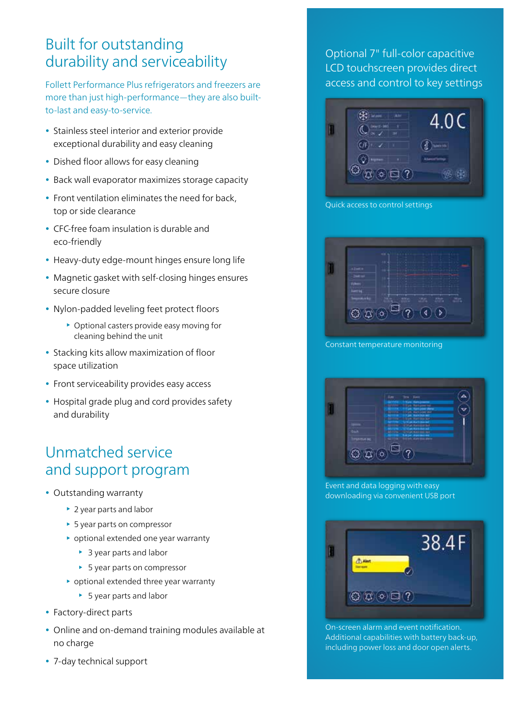#### Built for outstanding durability and serviceability

Follett Performance Plus refrigerators and freezers are more than just high-performance—they are also builtto-last and easy-to-service.

- Stainless steel interior and exterior provide exceptional durability and easy cleaning
- Dished floor allows for easy cleaning
- Back wall evaporator maximizes storage capacity
- Front ventilation eliminates the need for back, top or side clearance
- CFC-free foam insulation is durable and eco-friendly
- Heavy-duty edge-mount hinges ensure long life
- Magnetic gasket with self-closing hinges ensures secure closure
- Nylon-padded leveling feet protect floors
	- Optional casters provide easy moving for cleaning behind the unit
- Stacking kits allow maximization of floor space utilization
- Front serviceability provides easy access
- Hospital grade plug and cord provides safety and durability

#### Unmatched service and support program

- Outstanding warranty
	- ▶ 2 year parts and labor
	- ▶ 5 year parts on compressor
	- **•** optional extended one year warranty
		- ▶ 3 year parts and labor
		- ▶ 5 year parts on compressor
	- optional extended three year warranty
		- ▶ 5 year parts and labor
- Factory-direct parts
- Online and on-demand training modules available at no charge
- 7-day technical support

#### Optional 7" full-color capacitive LCD touchscreen provides direct access and control to key settings



Quick access to control settings



Constant temperature monitoring



Event and data logging with easy downloading via convenient USB port



On-screen alarm and event notification. Additional capabilities with battery back-up, including power loss and door open alerts.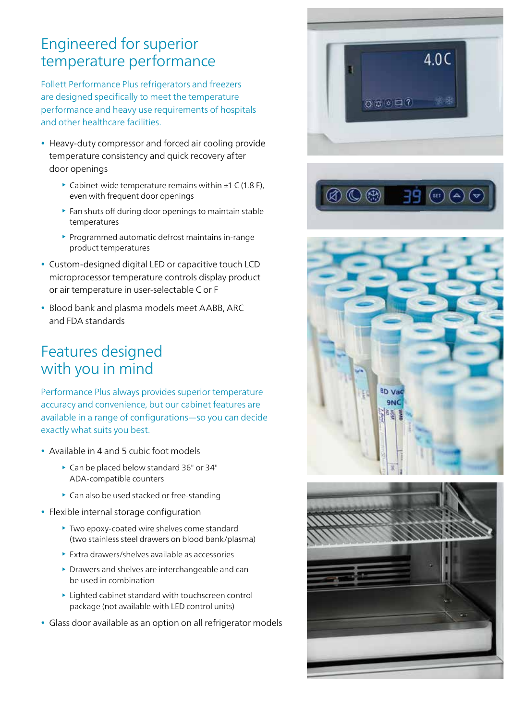#### Engineered for superior temperature performance

Follett Performance Plus refrigerators and freezers are designed specifically to meet the temperature performance and heavy use requirements of hospitals and other healthcare facilities.

- Heavy-duty compressor and forced air cooling provide temperature consistency and quick recovery after door openings
	- $\triangleright$  Cabinet-wide temperature remains within  $\pm 1$  C (1.8 F), even with frequent door openings
	- $\blacktriangleright$  Fan shuts off during door openings to maintain stable temperatures
	- $\blacktriangleright$  Programmed automatic defrost maintains in-range product temperatures
- Custom-designed digital LED or capacitive touch LCD microprocessor temperature controls display product or air temperature in user-selectable C or F
- Blood bank and plasma models meet AABB, ARC and FDA standards

#### Features designed with you in mind

Performance Plus always provides superior temperature accuracy and convenience, but our cabinet features are available in a range of configurations—so you can decide exactly what suits you best.

- Available in 4 and 5 cubic foot models
	- ▶ Can be placed below standard 36" or 34" ADA-compatible counters
	- ▶ Can also be used stacked or free-standing
- Flexible internal storage configuration
	- Two epoxy-coated wire shelves come standard (two stainless steel drawers on blood bank/plasma)
	- Extra drawers/shelves available as accessories
	- Drawers and shelves are interchangeable and can be used in combination
	- Lighted cabinet standard with touchscreen control package (not available with LED control units)
- Glass door available as an option on all refrigerator models